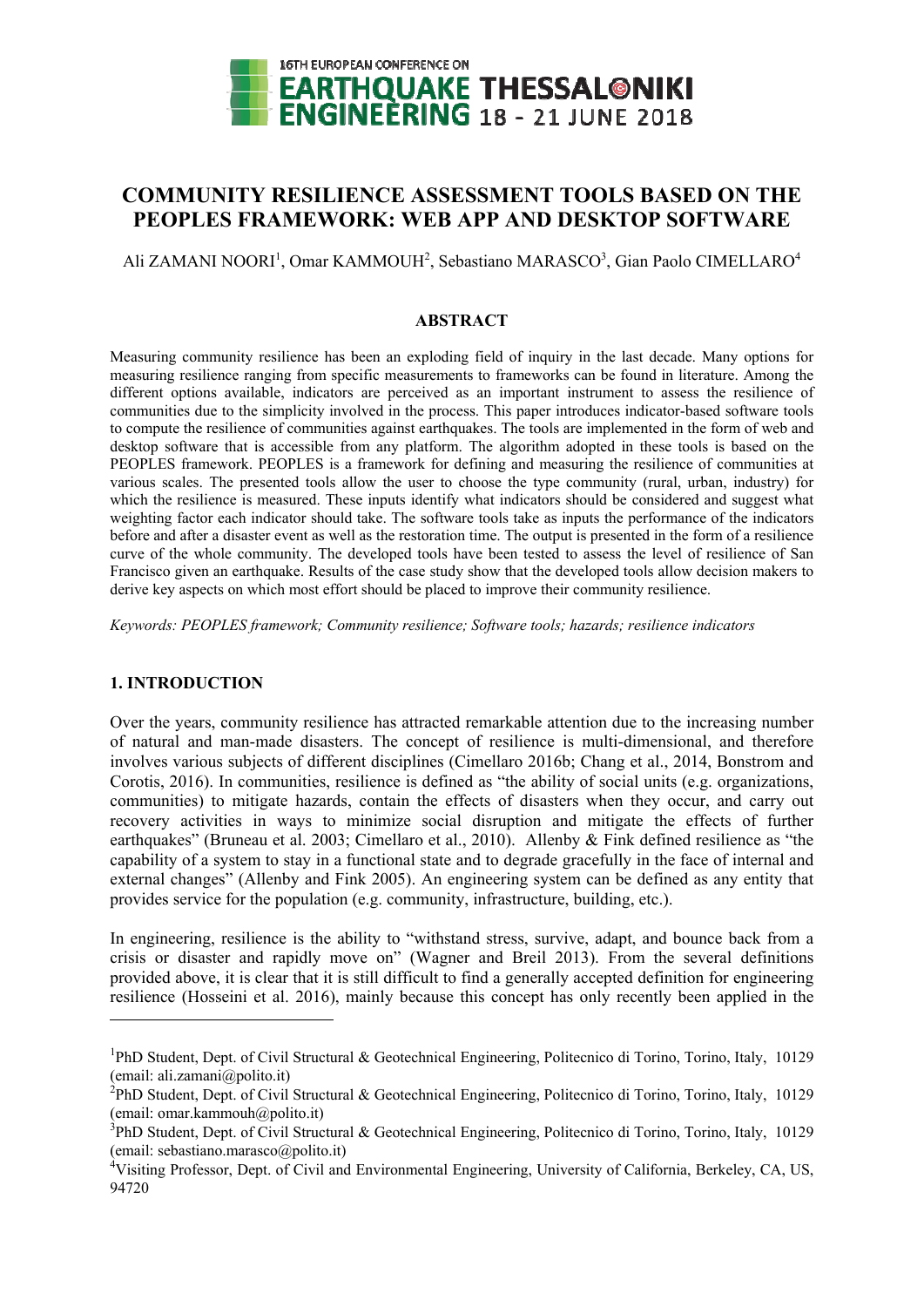

# **COMMUNITY RESILIENCE ASSESSMENT TOOLS BASED ON THE PEOPLES FRAMEWORK: WEB APP AND DESKTOP SOFTWARE**

Ali ZAMANI NOORI<sup>1</sup>, Omar KAMMOUH<sup>2</sup>, Sebastiano MARASCO<sup>3</sup>, Gian Paolo CIMELLARO<sup>4</sup>

#### **ABSTRACT**

Measuring community resilience has been an exploding field of inquiry in the last decade. Many options for measuring resilience ranging from specific measurements to frameworks can be found in literature. Among the different options available, indicators are perceived as an important instrument to assess the resilience of communities due to the simplicity involved in the process. This paper introduces indicator-based software tools to compute the resilience of communities against earthquakes. The tools are implemented in the form of web and desktop software that is accessible from any platform. The algorithm adopted in these tools is based on the PEOPLES framework. PEOPLES is a framework for defining and measuring the resilience of communities at various scales. The presented tools allow the user to choose the type community (rural, urban, industry) for which the resilience is measured. These inputs identify what indicators should be considered and suggest what weighting factor each indicator should take. The software tools take as inputs the performance of the indicators before and after a disaster event as well as the restoration time. The output is presented in the form of a resilience curve of the whole community. The developed tools have been tested to assess the level of resilience of San Francisco given an earthquake. Results of the case study show that the developed tools allow decision makers to derive key aspects on which most effort should be placed to improve their community resilience.

*Keywords: PEOPLES framework; Community resilience; Software tools; hazards; resilience indicators* 

## **1. INTRODUCTION**

1

Over the years, community resilience has attracted remarkable attention due to the increasing number of natural and man-made disasters. The concept of resilience is multi-dimensional, and therefore involves various subjects of different disciplines (Cimellaro 2016b; Chang et al., 2014, Bonstrom and Corotis, 2016). In communities, resilience is defined as "the ability of social units (e.g. organizations, communities) to mitigate hazards, contain the effects of disasters when they occur, and carry out recovery activities in ways to minimize social disruption and mitigate the effects of further earthquakes" (Bruneau et al. 2003; Cimellaro et al., 2010). Allenby & Fink defined resilience as "the capability of a system to stay in a functional state and to degrade gracefully in the face of internal and external changes" (Allenby and Fink 2005). An engineering system can be defined as any entity that provides service for the population (e.g. community, infrastructure, building, etc.).

In engineering, resilience is the ability to "withstand stress, survive, adapt, and bounce back from a crisis or disaster and rapidly move on" (Wagner and Breil 2013). From the several definitions provided above, it is clear that it is still difficult to find a generally accepted definition for engineering resilience (Hosseini et al. 2016), mainly because this concept has only recently been applied in the

<sup>&</sup>lt;sup>1</sup>PhD Student, Dept. of Civil Structural & Geotechnical Engineering, Politecnico di Torino, Torino, Italy, 10129 (email: ali.zamani@polito.it)

<sup>&</sup>lt;sup>2</sup>PhD Student, Dept. of Civil Structural & Geotechnical Engineering, Politecnico di Torino, Torino, Italy, 10129 (email: omar.kammouh@polito.it)

<sup>&</sup>lt;sup>3</sup>PhD Student, Dept. of Civil Structural & Geotechnical Engineering, Politecnico di Torino, Torino, Italy, 10129 (email: sebastiano.marasco@polito.it)

<sup>&</sup>lt;sup>4</sup>Visiting Professor, Dept. of Civil and Environmental Engineering, University of California, Berkeley, CA, US, 94720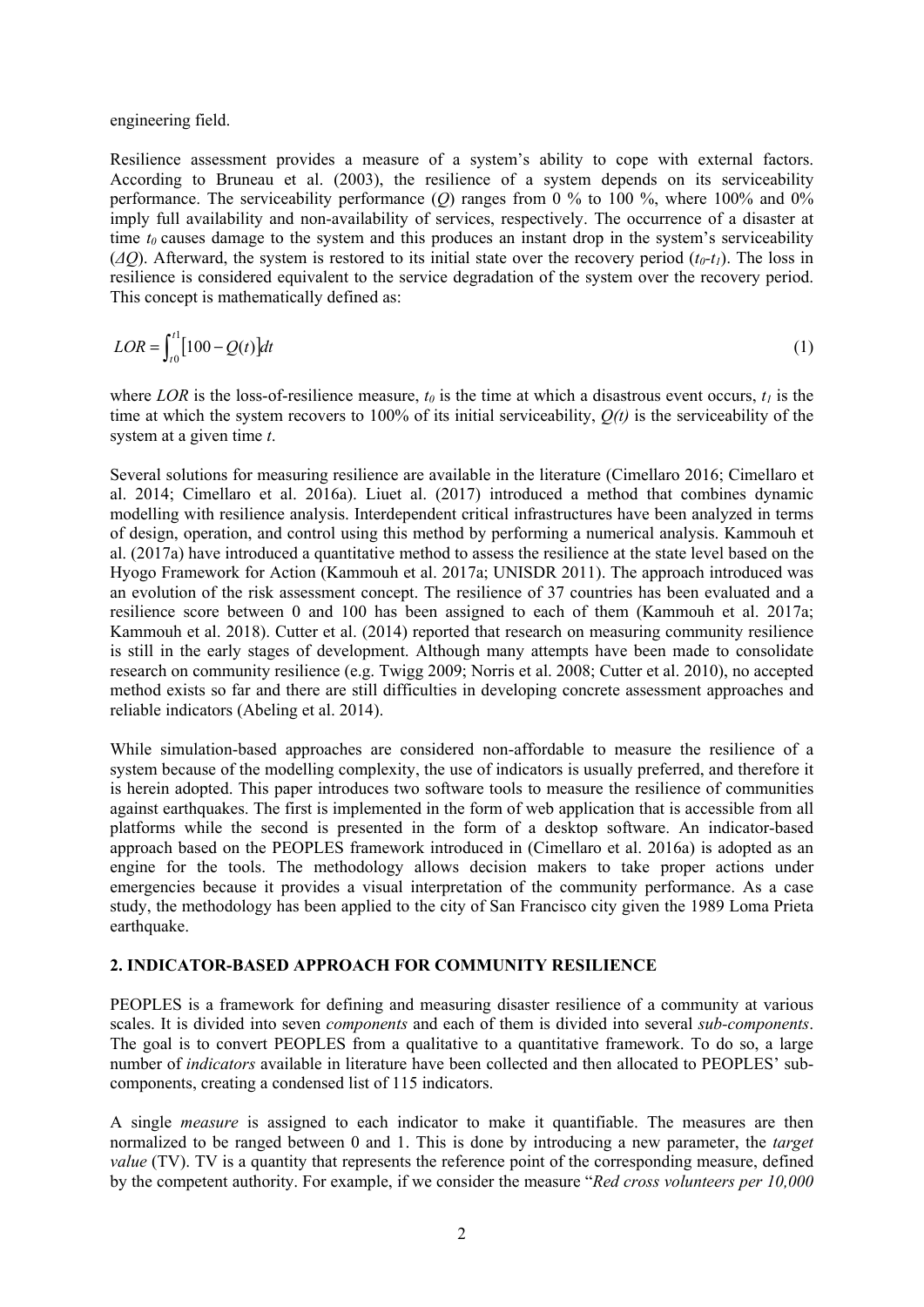engineering field.

Resilience assessment provides a measure of a system's ability to cope with external factors. According to Bruneau et al. (2003), the resilience of a system depends on its serviceability performance. The serviceability performance (*Q*) ranges from 0 % to 100 %, where 100% and 0% imply full availability and non-availability of services, respectively. The occurrence of a disaster at time  $t_0$  causes damage to the system and this produces an instant drop in the system's serviceability (*ΔQ*). Afterward, the system is restored to its initial state over the recovery period (*t0-t1*). The loss in resilience is considered equivalent to the service degradation of the system over the recovery period. This concept is mathematically defined as:

$$
LOR = \int_{t_0}^{t_1} [100 - Q(t)] dt
$$
 (1)

where *LOR* is the loss-of-resilience measure,  $t_0$  is the time at which a disastrous event occurs,  $t_1$  is the time at which the system recovers to 100% of its initial serviceability, *Q(t)* is the serviceability of the system at a given time *t*.

Several solutions for measuring resilience are available in the literature (Cimellaro 2016; Cimellaro et al. 2014; Cimellaro et al. 2016a). Liuet al. (2017) introduced a method that combines dynamic modelling with resilience analysis. Interdependent critical infrastructures have been analyzed in terms of design, operation, and control using this method by performing a numerical analysis. Kammouh et al. (2017a) have introduced a quantitative method to assess the resilience at the state level based on the Hyogo Framework for Action (Kammouh et al. 2017a; UNISDR 2011). The approach introduced was an evolution of the risk assessment concept. The resilience of 37 countries has been evaluated and a resilience score between 0 and 100 has been assigned to each of them (Kammouh et al. 2017a; Kammouh et al. 2018). Cutter et al. (2014) reported that research on measuring community resilience is still in the early stages of development. Although many attempts have been made to consolidate research on community resilience (e.g. Twigg 2009; Norris et al. 2008; Cutter et al. 2010), no accepted method exists so far and there are still difficulties in developing concrete assessment approaches and reliable indicators (Abeling et al. 2014).

While simulation-based approaches are considered non-affordable to measure the resilience of a system because of the modelling complexity, the use of indicators is usually preferred, and therefore it is herein adopted. This paper introduces two software tools to measure the resilience of communities against earthquakes. The first is implemented in the form of web application that is accessible from all platforms while the second is presented in the form of a desktop software. An indicator-based approach based on the PEOPLES framework introduced in (Cimellaro et al. 2016a) is adopted as an engine for the tools. The methodology allows decision makers to take proper actions under emergencies because it provides a visual interpretation of the community performance. As a case study, the methodology has been applied to the city of San Francisco city given the 1989 Loma Prieta earthquake.

## **2. INDICATOR-BASED APPROACH FOR COMMUNITY RESILIENCE**

PEOPLES is a framework for defining and measuring disaster resilience of a community at various scales. It is divided into seven *components* and each of them is divided into several *sub-components*. The goal is to convert PEOPLES from a qualitative to a quantitative framework. To do so, a large number of *indicators* available in literature have been collected and then allocated to PEOPLES' subcomponents, creating a condensed list of 115 indicators.

A single *measure* is assigned to each indicator to make it quantifiable. The measures are then normalized to be ranged between 0 and 1. This is done by introducing a new parameter, the *target value* (TV). TV is a quantity that represents the reference point of the corresponding measure, defined by the competent authority. For example, if we consider the measure "*Red cross volunteers per 10,000*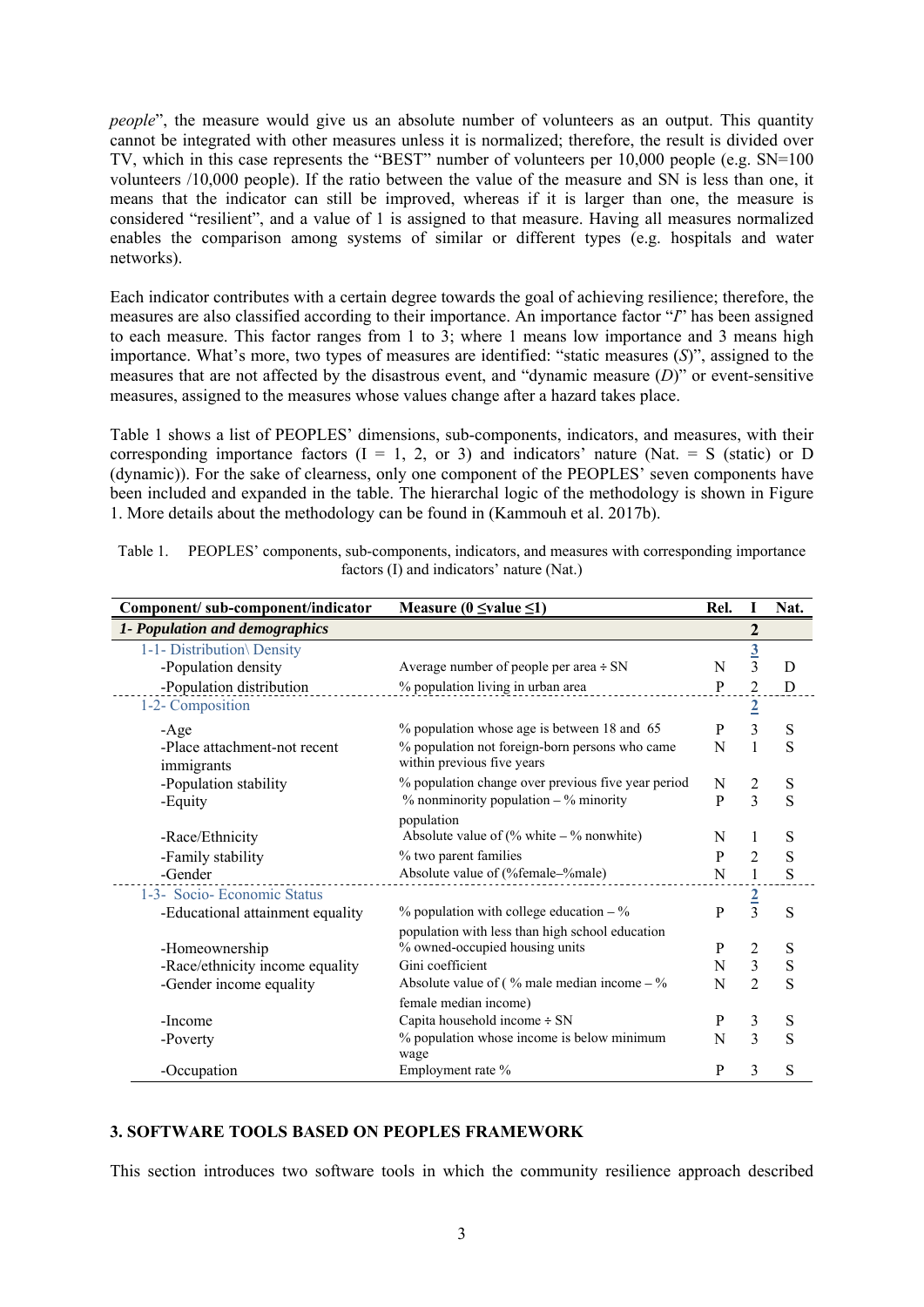*people*", the measure would give us an absolute number of volunteers as an output. This quantity cannot be integrated with other measures unless it is normalized; therefore, the result is divided over TV, which in this case represents the "BEST" number of volunteers per 10,000 people (e.g. SN=100 volunteers /10,000 people). If the ratio between the value of the measure and SN is less than one, it means that the indicator can still be improved, whereas if it is larger than one, the measure is considered "resilient", and a value of 1 is assigned to that measure. Having all measures normalized enables the comparison among systems of similar or different types (e.g. hospitals and water networks).

Each indicator contributes with a certain degree towards the goal of achieving resilience; therefore, the measures are also classified according to their importance. An importance factor "*I*" has been assigned to each measure. This factor ranges from 1 to 3; where 1 means low importance and 3 means high importance. What's more, two types of measures are identified: "static measures (*S*)", assigned to the measures that are not affected by the disastrous event, and "dynamic measure (*D*)" or event-sensitive measures, assigned to the measures whose values change after a hazard takes place.

Table 1 shows a list of PEOPLES' dimensions, sub-components, indicators, and measures, with their corresponding importance factors  $(I = 1, 2, or 3)$  and indicators' nature (Nat. = S (static) or D (dynamic)). For the sake of clearness, only one component of the PEOPLES' seven components have been included and expanded in the table. The hierarchal logic of the methodology is shown in Figure 1. More details about the methodology can be found in (Kammouh et al. 2017b).

| Component/ sub-component/indicator         | Measure ( $0 \le$ value $\le$ 1)                                             | Rel. | Ι                       | Nat.           |
|--------------------------------------------|------------------------------------------------------------------------------|------|-------------------------|----------------|
| 1- Population and demographics             |                                                                              | 2    |                         |                |
| 1-1- Distribution\ Density                 |                                                                              |      | $rac{3}{3}$             |                |
| -Population density                        | Average number of people per area $\div$ SN                                  | N    |                         | D              |
| -Population distribution                   | % population living in urban area                                            | P    | $\overline{2}$          | D              |
| 1-2- Composition                           |                                                                              |      | $\overline{2}$          |                |
| $-Age$                                     | % population whose age is between 18 and 65                                  | P    | 3                       | S              |
| -Place attachment-not recent<br>immigrants | % population not foreign-born persons who came<br>within previous five years | N    | $\mathbf{1}$            | S              |
| -Population stability                      | % population change over previous five year period                           | N    | 2                       | $\mathbf S$    |
| -Equity                                    | $%$ nonminority population $-$ % minority                                    | P    | 3                       | S              |
|                                            | population                                                                   |      |                         |                |
| -Race/Ethnicity                            | Absolute value of (% white $-$ % nonwhite)                                   | N    | 1                       | S              |
| -Family stability                          | % two parent families                                                        | P    | 2                       | $\mathbf S$    |
| -Gender                                    | Absolute value of (%female-%male)                                            | N    | $\mathbf{1}$            | S              |
| 1-3- Socio- Economic Status                |                                                                              |      |                         |                |
| -Educational attainment equality           | $%$ population with college education – $%$                                  | P    | $rac{2}{3}$             | S              |
|                                            | population with less than high school education                              |      |                         |                |
| -Homeownership                             | % owned-occupied housing units                                               | P    | 2                       | $\mathbf S$    |
| -Race/ethnicity income equality            | Gini coefficient                                                             | N    | $\overline{\mathbf{3}}$ | $\overline{S}$ |
| -Gender income equality                    | Absolute value of ( $\%$ male median income $-\%$                            | N    | $\overline{2}$          | S              |
|                                            | female median income)                                                        |      |                         |                |
| -Income                                    | Capita household income ÷ SN                                                 | P    | 3                       | S              |
| -Poverty                                   | % population whose income is below minimum<br>wage                           | N    | 3                       | S              |
| -Occupation                                | Employment rate %                                                            | P    | 3                       | S              |

| Table 1. PEOPLES' components, sub-components, indicators, and measures with corresponding importance |
|------------------------------------------------------------------------------------------------------|
| factors (I) and indicators' nature (Nat.)                                                            |

## **3. SOFTWARE TOOLS BASED ON PEOPLES FRAMEWORK**

This section introduces two software tools in which the community resilience approach described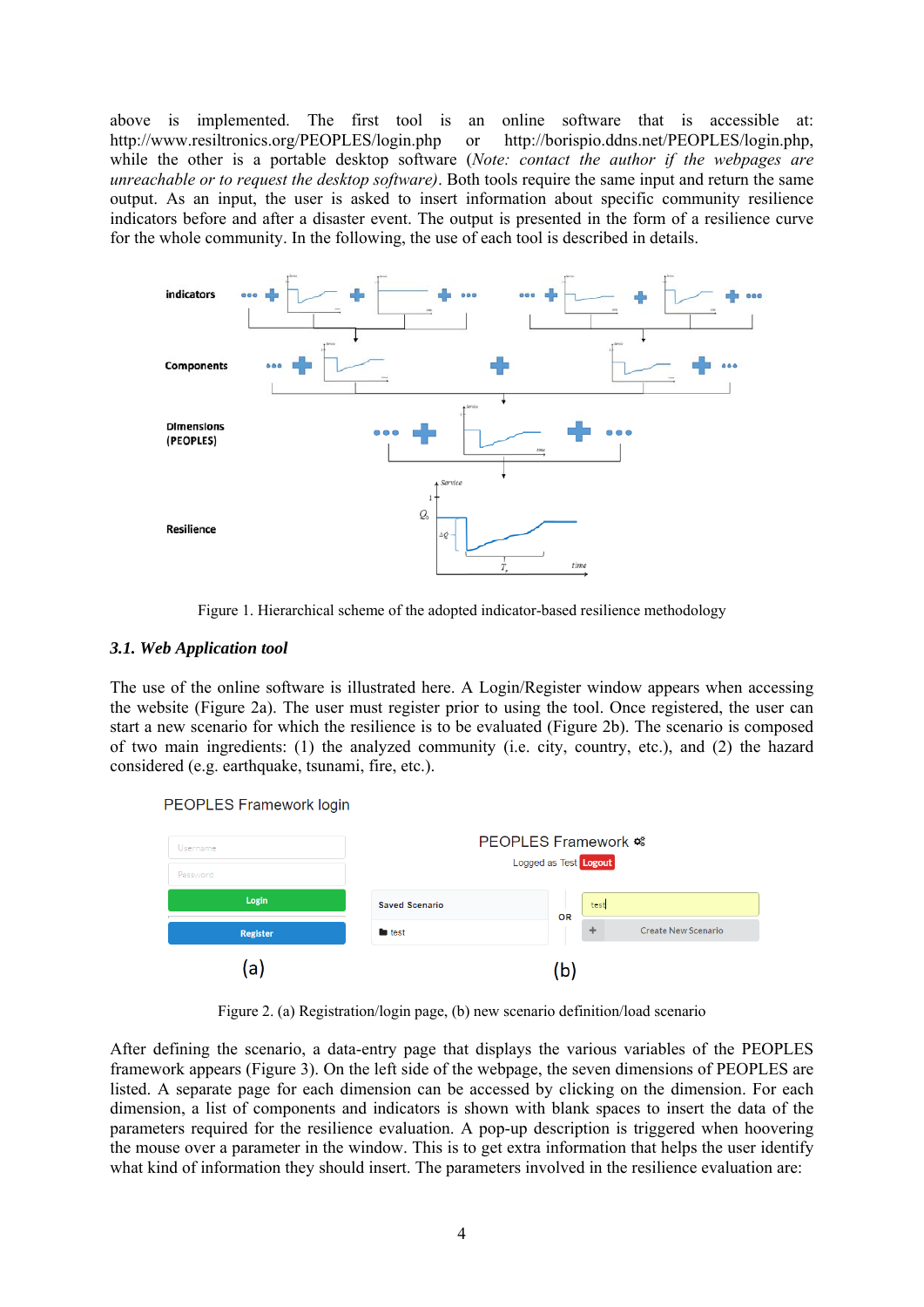above is implemented. The first tool is an online software that is accessible at: http://www.resiltronics.org/PEOPLES/login.php or http://borispio.ddns.net/PEOPLES/login.php, while the other is a portable desktop software (*Note: contact the author if the webpages are unreachable or to request the desktop software)*. Both tools require the same input and return the same output. As an input, the user is asked to insert information about specific community resilience indicators before and after a disaster event. The output is presented in the form of a resilience curve for the whole community. In the following, the use of each tool is described in details.



Figure 1. Hierarchical scheme of the adopted indicator-based resilience methodology

## *3.1. Web Application tool*

The use of the online software is illustrated here. A Login/Register window appears when accessing the website (Figure 2a). The user must register prior to using the tool. Once registered, the user can start a new scenario for which the resilience is to be evaluated (Figure 2b). The scenario is composed of two main ingredients: (1) the analyzed community (i.e. city, country, etc.), and (2) the hazard considered (e.g. earthquake, tsunami, fire, etc.).



**PEOPLES Framework login** 

Figure 2. (a) Registration/login page, (b) new scenario definition/load scenario

After defining the scenario, a data-entry page that displays the various variables of the PEOPLES framework appears (Figure 3). On the left side of the webpage, the seven dimensions of PEOPLES are listed. A separate page for each dimension can be accessed by clicking on the dimension. For each dimension, a list of components and indicators is shown with blank spaces to insert the data of the parameters required for the resilience evaluation. A pop-up description is triggered when hoovering the mouse over a parameter in the window. This is to get extra information that helps the user identify what kind of information they should insert. The parameters involved in the resilience evaluation are: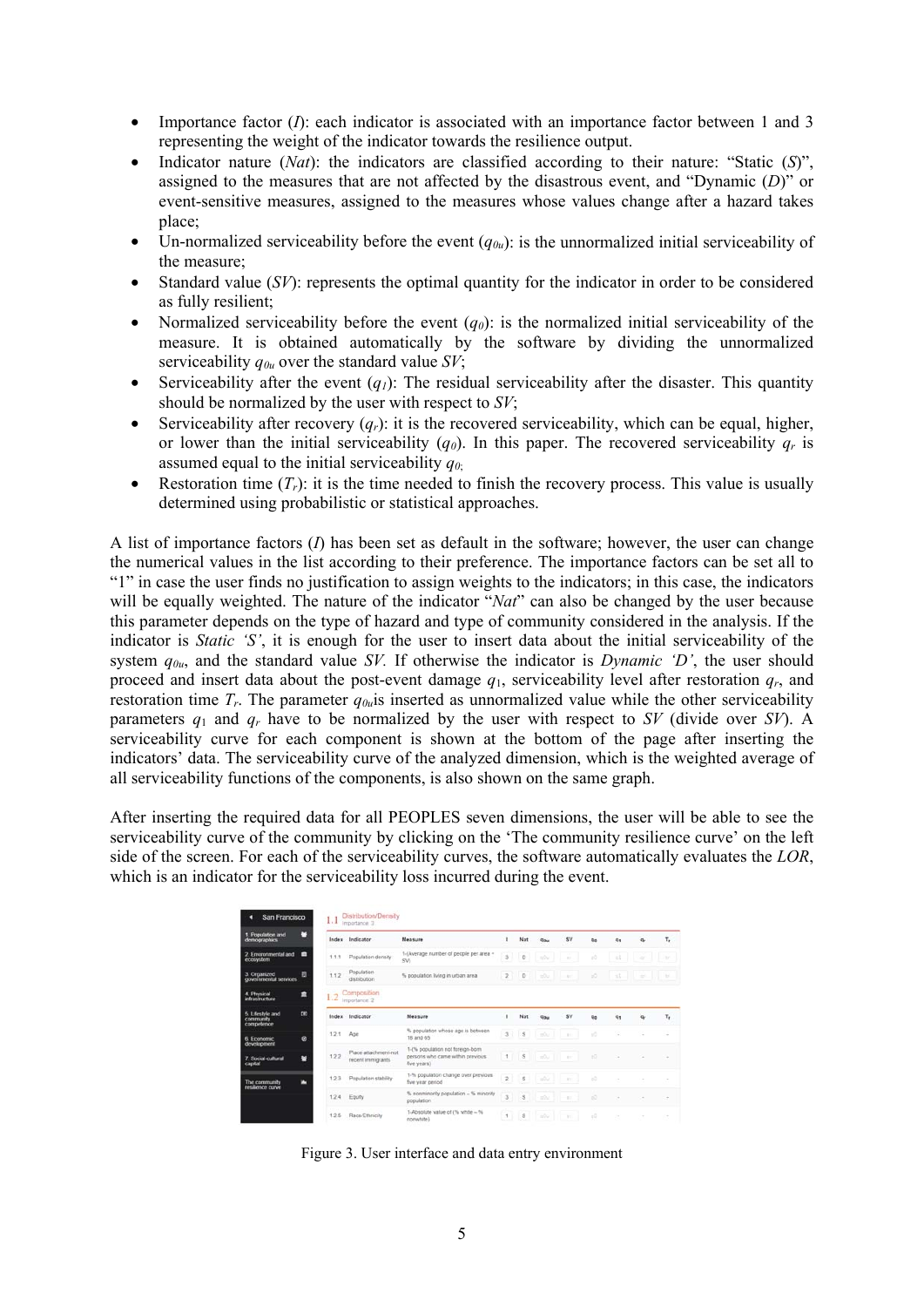- Importance factor (*I*): each indicator is associated with an importance factor between 1 and 3 representing the weight of the indicator towards the resilience output.
- Indicator nature (*Nat*): the indicators are classified according to their nature: "Static (*S*)", assigned to the measures that are not affected by the disastrous event, and "Dynamic (*D*)" or event-sensitive measures, assigned to the measures whose values change after a hazard takes place;
- Un-normalized serviceability before the event  $(q_{0u})$ : is the unnormalized initial serviceability of the measure;
- Standard value *(SV)*: represents the optimal quantity for the indicator in order to be considered as fully resilient;
- Normalized serviceability before the event (*q0*): is the normalized initial serviceability of the measure. It is obtained automatically by the software by dividing the unnormalized serviceability *q0u* over the standard value *SV*;
- Serviceability after the event  $(q_1)$ : The residual serviceability after the disaster. This quantity should be normalized by the user with respect to *SV*;
- Serviceability after recovery  $(q_r)$ : it is the recovered serviceability, which can be equal, higher, or lower than the initial serviceability  $(q_0)$ . In this paper. The recovered serviceability  $q_r$  is assumed equal to the initial serviceability *q0*;
- Restoration time  $(T_r)$ : it is the time needed to finish the recovery process. This value is usually determined using probabilistic or statistical approaches.

A list of importance factors (*I*) has been set as default in the software; however, the user can change the numerical values in the list according to their preference. The importance factors can be set all to "1" in case the user finds no justification to assign weights to the indicators; in this case, the indicators will be equally weighted. The nature of the indicator "*Nat*" can also be changed by the user because this parameter depends on the type of hazard and type of community considered in the analysis. If the indicator is *Static 'S'*, it is enough for the user to insert data about the initial serviceability of the system *q0u*, and the standard value *SV.* If otherwise the indicator is *Dynamic 'D'*, the user should proceed and insert data about the post-event damage  $q_1$ , serviceability level after restoration  $q_r$ , and restoration time  $T_r$ . The parameter  $q_{0u}$  is inserted as unnormalized value while the other serviceability parameters  $q_1$  and  $q_r$  have to be normalized by the user with respect to *SV* (divide over *SV*). A serviceability curve for each component is shown at the bottom of the page after inserting the indicators' data. The serviceability curve of the analyzed dimension, which is the weighted average of all serviceability functions of the components, is also shown on the same graph.

After inserting the required data for all PEOPLES seven dimensions, the user will be able to see the serviceability curve of the community by clicking on the 'The community resilience curve' on the left side of the screen. For each of the serviceability curves, the software automatically evaluates the *LOR*, which is an indicator for the serviceability loss incurred during the event.

| 1. Population and<br>demographics            | п          |       | Index Indicator                            | Measure                                                                             |                | Nat      | <b>GOV</b>     | sv                 | Go.      | $q_{1}$        | $q_{\rm r}$              | $\mathsf{T}_\mathsf{r}$ |
|----------------------------------------------|------------|-------|--------------------------------------------|-------------------------------------------------------------------------------------|----------------|----------|----------------|--------------------|----------|----------------|--------------------------|-------------------------|
| 2. Environmental and<br>ecosystem            |            | 1.1.1 | Population density                         | 1-(Average number of people per area -<br>SV)                                       | 3              | $\circ$  | $\mathbb{R}^N$ | $\sim$             | $\alpha$ | é.             | ÷                        | w                       |
| 3. Organized<br>governmental services        | 目          | 1.1.2 | Population.<br>distribution                | % population living in urban area                                                   | $2-1$          | $\Box$   | $\rightarrow$  | $\sim$             | B        | $31 -$         | $\sim$                   | die                     |
| 4. Physical<br>infrastructure                | 童          |       | Composition<br>Line Importance 2           |                                                                                     |                |          |                |                    |          |                |                          |                         |
| 5. Lifestyle and<br>community.<br>competence | <b>CH3</b> |       | Index Indicator                            | Measure                                                                             |                | Nat      | $q_{0n}$       | <b>SV</b>          | Ga       | q <sub>1</sub> | q,                       | τ,                      |
| 6. Feanamic                                  | ø          | 12.1  | Age                                        | % population whose age is between<br>18 and 65                                      | 3              | <b>S</b> | $\frac{1}{2}$  | $\mathbb{R}^{n}$ : | $\sim$   | ÷              | $\overline{\phantom{a}}$ | ÷                       |
| development<br>7. Social cultural<br>capital | 兰          | 1.2.2 | Place attachment-not<br>recent immigrants. | 1-t% population not foreign-born<br>persons who came within previous<br>five years) | 1 <sup>1</sup> | I.S      | $\pm 0.1$      | <b>A</b>           | 15       | $\sim$         | $\sim$                   | $\sim$                  |
|                                              |            | 1.2.3 | Population stability                       | 1-% population change over previous.<br>five year period                            | $\mathbf{z}$   | s        | $\leq$         | $\mathbb{R}^{n}$ . | ish      |                |                          |                         |
|                                              | m          |       |                                            |                                                                                     |                |          |                |                    |          |                |                          |                         |
| The community<br>resilience curve            |            | 124   | Equity                                     | % nonminority population - % minority<br>population                                 | 3              | $-8$     | $\frac{1}{2}$  | $511 - 64$         | $\sim$   | ٠              |                          |                         |

Figure 3. User interface and data entry environment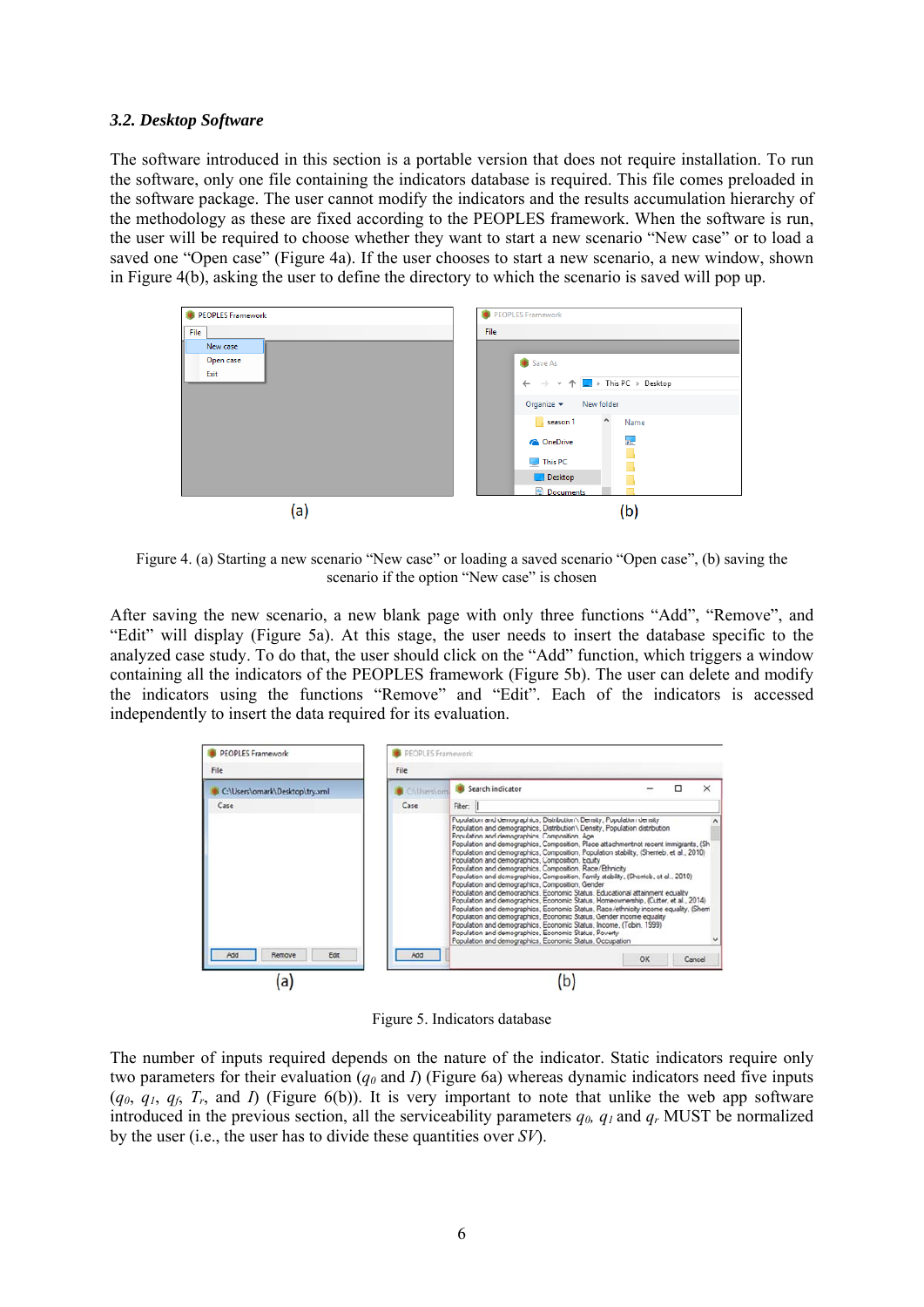#### *3.2. Desktop Software*

The software introduced in this section is a portable version that does not require installation. To run the software, only one file containing the indicators database is required. This file comes preloaded in the software package. The user cannot modify the indicators and the results accumulation hierarchy of the methodology as these are fixed according to the PEOPLES framework. When the software is run, the user will be required to choose whether they want to start a new scenario "New case" or to load a saved one "Open case" (Figure 4a). If the user chooses to start a new scenario, a new window, shown in Figure 4(b), asking the user to define the directory to which the scenario is saved will pop up.



Figure 4. (a) Starting a new scenario "New case" or loading a saved scenario "Open case", (b) saving the scenario if the option "New case" is chosen

After saving the new scenario, a new blank page with only three functions "Add", "Remove", and "Edit" will display (Figure 5a). At this stage, the user needs to insert the database specific to the analyzed case study. To do that, the user should click on the "Add" function, which triggers a window containing all the indicators of the PEOPLES framework (Figure 5b). The user can delete and modify the indicators using the functions "Remove" and "Edit". Each of the indicators is accessed independently to insert the data required for its evaluation.



Figure 5. Indicators database

The number of inputs required depends on the nature of the indicator. Static indicators require only two parameters for their evaluation (*q0* and *I*) (Figure 6a) whereas dynamic indicators need five inputs  $(q_0, q_1, q_6, T_r,$  and *I*) (Figure 6(b)). It is very important to note that unlike the web app software introduced in the previous section, all the serviceability parameters  $q_0$ ,  $q_1$  and  $q_r$  MUST be normalized by the user (i.e., the user has to divide these quantities over *SV*).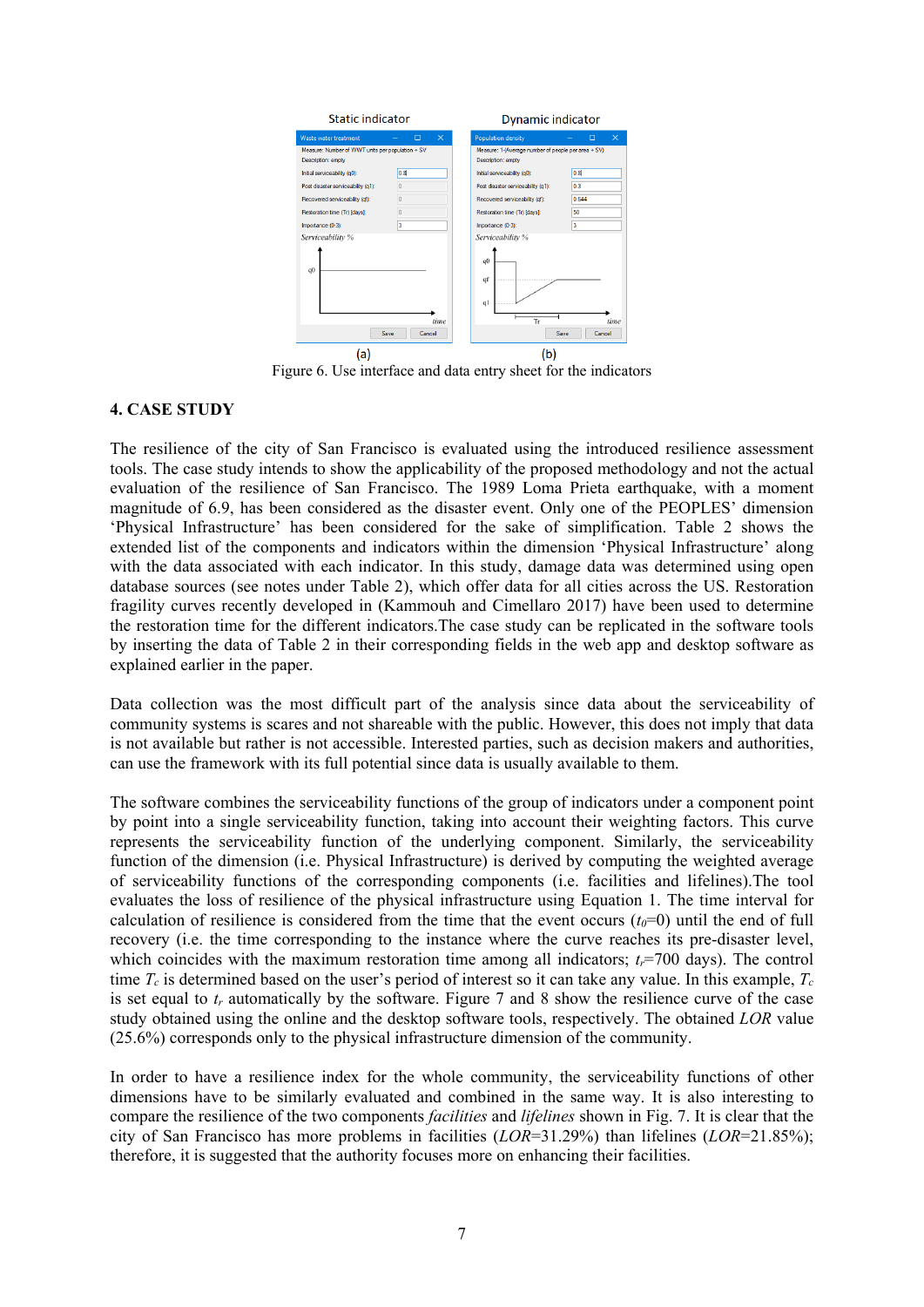

Figure 6. Use interface and data entry sheet for the indicators

## **4. CASE STUDY**

The resilience of the city of San Francisco is evaluated using the introduced resilience assessment tools. The case study intends to show the applicability of the proposed methodology and not the actual evaluation of the resilience of San Francisco. The 1989 Loma Prieta earthquake, with a moment magnitude of 6.9, has been considered as the disaster event. Only one of the PEOPLES' dimension 'Physical Infrastructure' has been considered for the sake of simplification. Table 2 shows the extended list of the components and indicators within the dimension 'Physical Infrastructure' along with the data associated with each indicator. In this study, damage data was determined using open database sources (see notes under Table 2), which offer data for all cities across the US. Restoration fragility curves recently developed in (Kammouh and Cimellaro 2017) have been used to determine the restoration time for the different indicators.The case study can be replicated in the software tools by inserting the data of Table 2 in their corresponding fields in the web app and desktop software as explained earlier in the paper.

Data collection was the most difficult part of the analysis since data about the serviceability of community systems is scares and not shareable with the public. However, this does not imply that data is not available but rather is not accessible. Interested parties, such as decision makers and authorities, can use the framework with its full potential since data is usually available to them.

The software combines the serviceability functions of the group of indicators under a component point by point into a single serviceability function, taking into account their weighting factors. This curve represents the serviceability function of the underlying component. Similarly, the serviceability function of the dimension (i.e. Physical Infrastructure) is derived by computing the weighted average of serviceability functions of the corresponding components (i.e. facilities and lifelines).The tool evaluates the loss of resilience of the physical infrastructure using Equation 1. The time interval for calculation of resilience is considered from the time that the event occurs  $(t_0=0)$  until the end of full recovery (i.e. the time corresponding to the instance where the curve reaches its pre-disaster level, which coincides with the maximum restoration time among all indicators;  $t_r$ =700 days). The control time  $T_c$  is determined based on the user's period of interest so it can take any value. In this example,  $T_c$ is set equal to *tr* automatically by the software. Figure 7 and 8 show the resilience curve of the case study obtained using the online and the desktop software tools, respectively. The obtained *LOR* value (25.6%) corresponds only to the physical infrastructure dimension of the community.

In order to have a resilience index for the whole community, the serviceability functions of other dimensions have to be similarly evaluated and combined in the same way. It is also interesting to compare the resilience of the two components *facilities* and *lifelines* shown in Fig. 7. It is clear that the city of San Francisco has more problems in facilities (*LOR*=31.29%) than lifelines (*LOR*=21.85%); therefore, it is suggested that the authority focuses more on enhancing their facilities.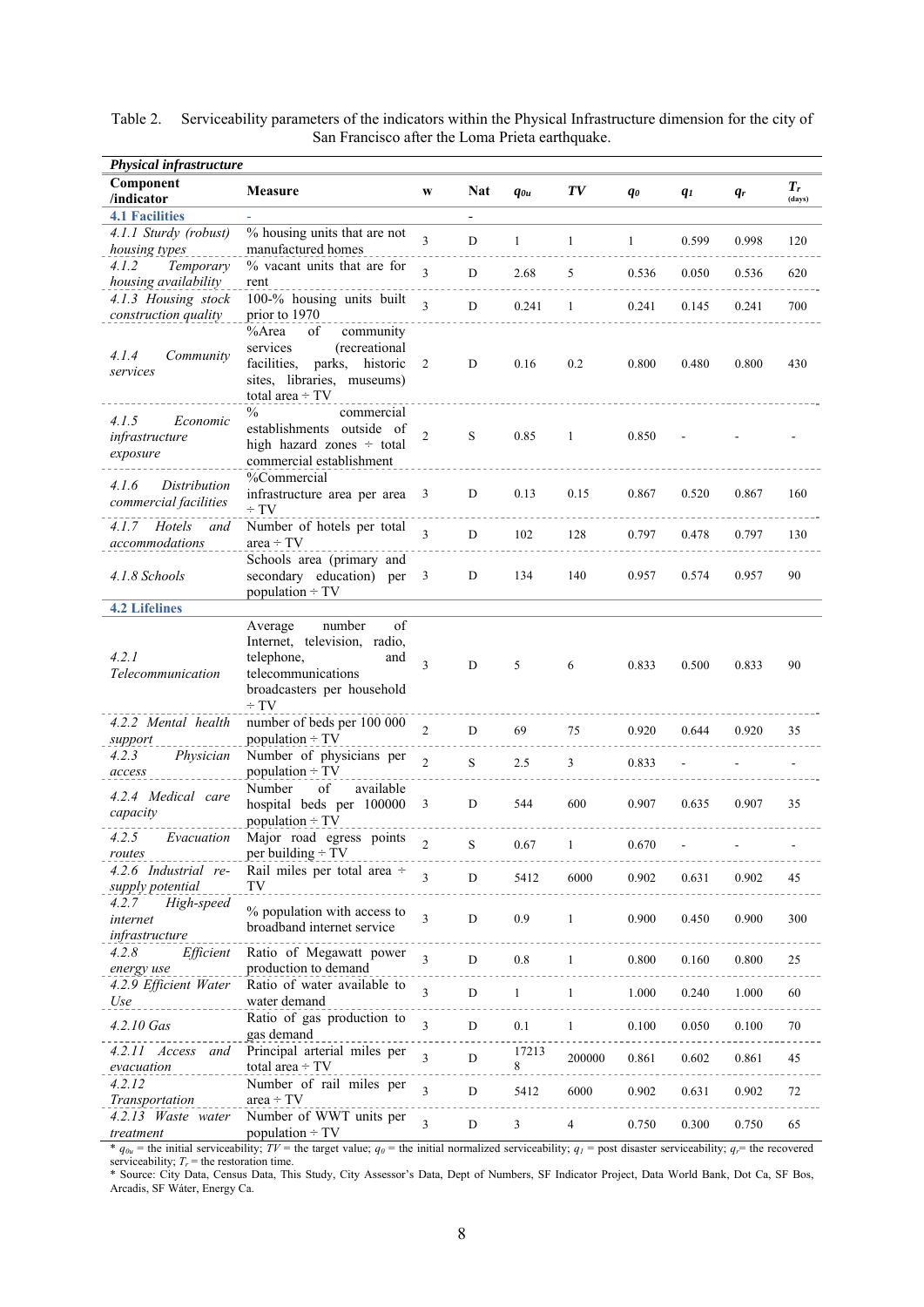| <b>Physical infrastructure</b>                    |                                                                                                                                               |                |                          |              |              |              |       |         |                 |  |  |
|---------------------------------------------------|-----------------------------------------------------------------------------------------------------------------------------------------------|----------------|--------------------------|--------------|--------------|--------------|-------|---------|-----------------|--|--|
| Component<br>/indicator                           | <b>Measure</b>                                                                                                                                | W              | <b>Nat</b>               | $q_{0u}$     | TV           | qo           | $q_I$ | $q_{r}$ | $T_r$<br>(days) |  |  |
| <b>4.1 Facilities</b>                             |                                                                                                                                               |                | $\overline{\phantom{0}}$ |              |              |              |       |         |                 |  |  |
| 4.1.1 Sturdy (robust)                             | % housing units that are not                                                                                                                  | 3              | $\mathbf D$              | $\mathbf{1}$ | $\mathbf{1}$ | $\mathbf{1}$ | 0.599 | 0.998   | 120             |  |  |
| housing types                                     | manufactured homes                                                                                                                            |                |                          |              |              |              |       |         |                 |  |  |
| 4.1.2<br>Temporary                                | % vacant units that are for                                                                                                                   | 3              | D                        | 2.68         | 5            | 0.536        | 0.050 | 0.536   | 620             |  |  |
| housing availability                              | rent                                                                                                                                          |                |                          |              |              |              |       |         |                 |  |  |
| 4.1.3 Housing stock                               | 100-% housing units built                                                                                                                     | $\mathbf{3}$   | $\mathbf D$              | 0.241        | 1            | 0.241        | 0.145 | 0.241   | 700             |  |  |
| construction quality                              | prior to 1970                                                                                                                                 |                |                          |              |              |              |       |         |                 |  |  |
| 4.1.4<br>Community<br>services                    | %Area<br>of<br>community<br>services<br>(recreational<br>facilities,<br>parks, historic<br>sites, libraries, museums)<br>total area $\div$ TV | 2              | $\mathbf D$              | 0.16         | 0.2          | 0.800        | 0.480 | 0.800   | 430             |  |  |
| 4.1.5<br>Economic<br>infrastructure<br>exposure   | $\frac{0}{0}$<br>commercial<br>establishments outside of<br>high hazard zones ÷ total<br>commercial establishment                             | 2              | S                        | 0.85         | 1            | 0.850        |       |         |                 |  |  |
| 4.1.6<br>Distribution<br>commercial facilities    | %Commercial<br>infrastructure area per area<br>$\div$ TV                                                                                      | 3              | D                        | 0.13         | 0.15         | 0.867        | 0.520 | 0.867   | 160             |  |  |
| Hotels<br>4.1.7<br>and<br>accommodations          | Number of hotels per total<br>$area + TV$                                                                                                     | 3              | D                        | 102          | 128          | 0.797        | 0.478 | 0.797   | 130             |  |  |
| 4.1.8 Schools                                     | Schools area (primary and<br>secondary education) per<br>population $\div$ TV                                                                 | 3              | D                        | 134          | 140          | 0.957        | 0.574 | 0.957   | 90              |  |  |
| <b>4.2 Lifelines</b>                              |                                                                                                                                               |                |                          |              |              |              |       |         |                 |  |  |
| 4.2.1<br>Telecommunication                        | of<br>number<br>Average<br>Internet, television, radio,<br>telephone,<br>and<br>telecommunications<br>broadcasters per household<br>$\div$ TV | 3              | D                        | 5            | 6            | 0.833        | 0.500 | 0.833   | 90              |  |  |
| 4.2.2 Mental health<br>support                    | number of beds per 100 000<br>population $\div$ TV                                                                                            | $\overline{2}$ | D                        | 69           | 75           | 0.920        | 0.644 | 0.920   | 35              |  |  |
| 4.2.3<br>Physician<br>access                      | Number of physicians per<br>population $\div TV$                                                                                              | $\overline{2}$ | S                        | 2.5          | 3            | 0.833        |       |         |                 |  |  |
| 4.2.4 Medical care<br>capacity                    | Number<br>of<br>available<br>hospital beds per 100000<br>population $\div$ TV                                                                 | 3              | D                        | 544          | 600          | 0.907        | 0.635 | 0.907   | 35              |  |  |
| 4.2.5<br>Evacuation<br>routes                     | Major road egress points<br>per building $\div TV$                                                                                            |                | S                        | 0.67         | $\mathbf{1}$ | 0.670        |       |         |                 |  |  |
| 4.2.6 Industrial re-<br>supply potential          | Rail miles per total area ÷<br>TV                                                                                                             | 3              | $\mathbf D$              | 5412         | 6000         | 0.902        | 0.631 | 0.902   | 45              |  |  |
| High-speed<br>4.2.7<br>internet<br>infrastructure | % population with access to<br>broadband internet service                                                                                     | 3              | ${\bf D}$                | 0.9          | $\mathbf{1}$ | 0.900        | 0.450 | 0.900   | 300             |  |  |
| 4.2.8<br>Efficient<br>energy use                  | Ratio of Megawatt power<br>production to demand                                                                                               | 3              | $\mathbf D$              | $0.8\,$      | 1            | 0.800        | 0.160 | 0.800   | 25              |  |  |
| 4.2.9 Efficient Water<br>Use                      | Ratio of water available to<br>water demand                                                                                                   | 3              | $\mathbf D$              | $\mathbf{1}$ | 1            | 1.000        | 0.240 | 1.000   | 60              |  |  |
| 4.2.10 Gas                                        | Ratio of gas production to<br>gas demand                                                                                                      | 3              | D                        | $0.1\,$      | 1            | 0.100        | 0.050 | 0.100   | 70              |  |  |
| 4.2.11 Access<br>and<br>evacuation                | Principal arterial miles per<br>total area ÷ TV                                                                                               | 3              | $\mathbf D$              | 17213<br>8   | 200000       | 0.861        | 0.602 | 0.861   | 45              |  |  |
| 4.2.12<br>Transportation                          | Number of rail miles per<br>$area + TV$                                                                                                       | 3              | D                        | 5412         | 6000         | 0.902        | 0.631 | 0.902   | 72              |  |  |
| 4.2.13 Waste water<br>treatment                   | Number of WWT units per<br>population $\div TV$                                                                                               | 3              | $\mathbf D$              | 3            | 4            | 0.750        | 0.300 | 0.750   | 65              |  |  |

Table 2. Serviceability parameters of the indicators within the Physical Infrastructure dimension for the city of San Francisco after the Loma Prieta earthquake.

 $*$   $q_{0u}$  = the initial serviceability; *TV* = the target value;  $q_0$  = the initial normalized serviceability;  $q_1$  = post disaster serviceability;  $q_r$  = the recovered serviceability;  $T_r$  = the restoration time.

\* Source: City Data, Census Data, This Study, City Assessor's Data, Dept of Numbers, SF Indicator Project, Data World Bank, Dot Ca, SF Bos, Arcadis, SF Wáter, Energy Ca.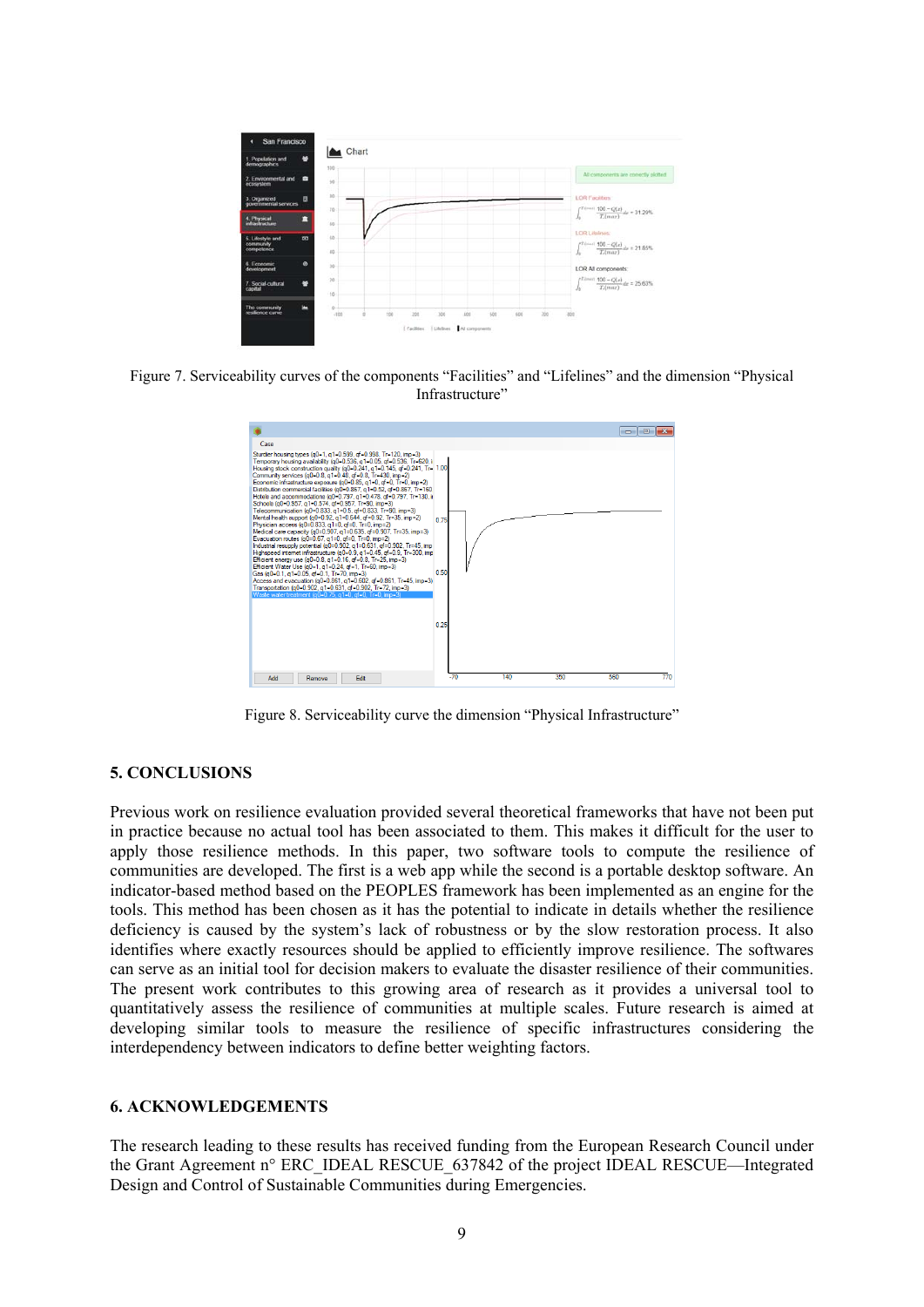

Figure 7. Serviceability curves of the components "Facilities" and "Lifelines" and the dimension "Physical Infrastructure"



Figure 8. Serviceability curve the dimension "Physical Infrastructure"

## **5. CONCLUSIONS**

Previous work on resilience evaluation provided several theoretical frameworks that have not been put in practice because no actual tool has been associated to them. This makes it difficult for the user to apply those resilience methods. In this paper, two software tools to compute the resilience of communities are developed. The first is a web app while the second is a portable desktop software. An indicator-based method based on the PEOPLES framework has been implemented as an engine for the tools. This method has been chosen as it has the potential to indicate in details whether the resilience deficiency is caused by the system's lack of robustness or by the slow restoration process. It also identifies where exactly resources should be applied to efficiently improve resilience. The softwares can serve as an initial tool for decision makers to evaluate the disaster resilience of their communities. The present work contributes to this growing area of research as it provides a universal tool to quantitatively assess the resilience of communities at multiple scales. Future research is aimed at developing similar tools to measure the resilience of specific infrastructures considering the interdependency between indicators to define better weighting factors.

## **6. ACKNOWLEDGEMENTS**

The research leading to these results has received funding from the European Research Council under the Grant Agreement n° ERC\_IDEAL RESCUE\_637842 of the project IDEAL RESCUE—Integrated Design and Control of Sustainable Communities during Emergencies.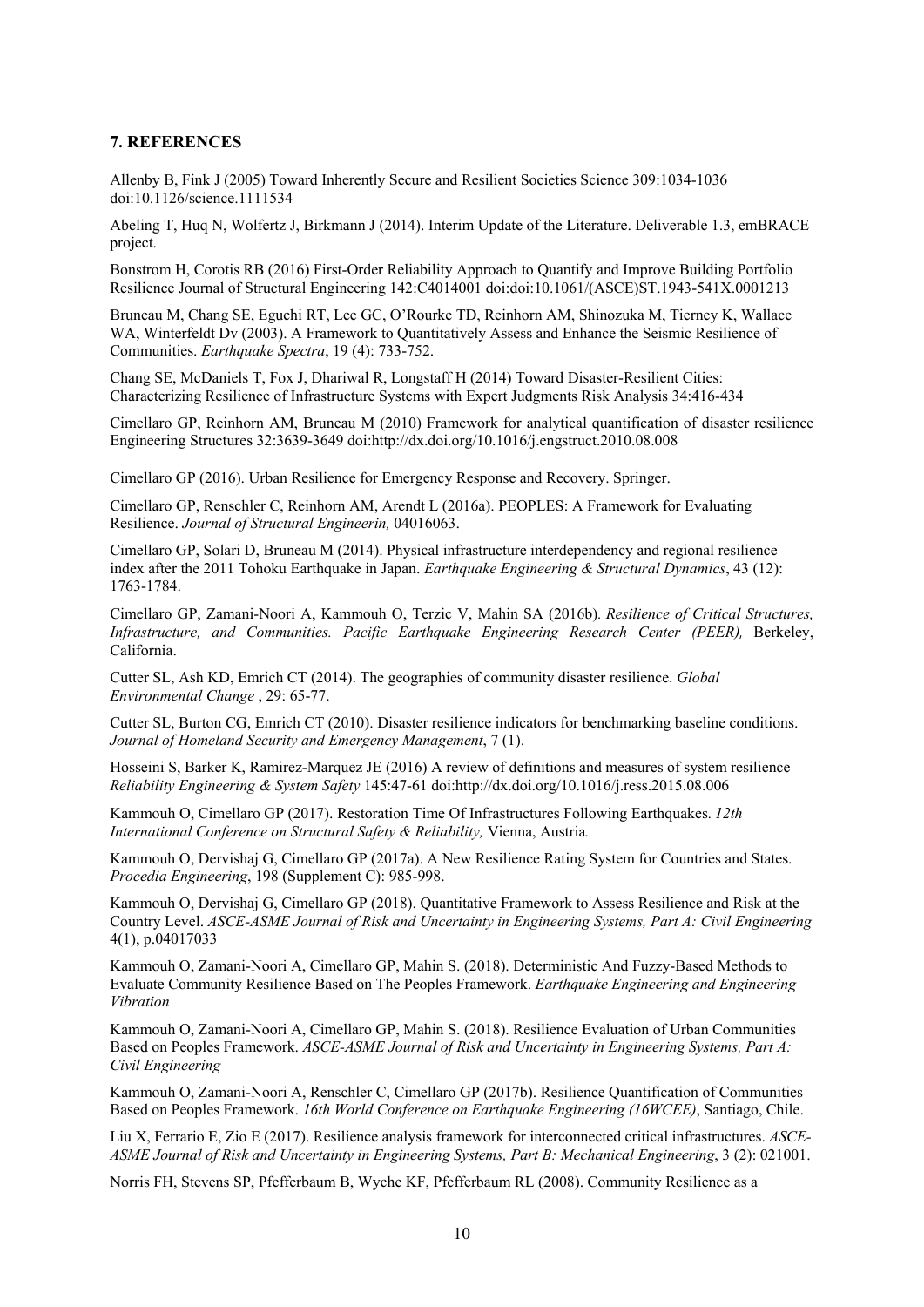#### **7. REFERENCES**

Allenby B, Fink J (2005) Toward Inherently Secure and Resilient Societies Science 309:1034-1036 doi:10.1126/science.1111534

Abeling T, Huq N, Wolfertz J, Birkmann J (2014). Interim Update of the Literature. Deliverable 1.3, emBRACE project.

Bonstrom H, Corotis RB (2016) First-Order Reliability Approach to Quantify and Improve Building Portfolio Resilience Journal of Structural Engineering 142:C4014001 doi:doi:10.1061/(ASCE)ST.1943-541X.0001213

Bruneau M, Chang SE, Eguchi RT, Lee GC, O'Rourke TD, Reinhorn AM, Shinozuka M, Tierney K, Wallace WA, Winterfeldt Dy (2003). A Framework to Quantitatively Assess and Enhance the Seismic Resilience of Communities. *Earthquake Spectra*, 19 (4): 733-752.

Chang SE, McDaniels T, Fox J, Dhariwal R, Longstaff H (2014) Toward Disaster-Resilient Cities: Characterizing Resilience of Infrastructure Systems with Expert Judgments Risk Analysis 34:416-434

Cimellaro GP, Reinhorn AM, Bruneau M (2010) Framework for analytical quantification of disaster resilience Engineering Structures 32:3639-3649 doi:http://dx.doi.org/10.1016/j.engstruct.2010.08.008

Cimellaro GP (2016). Urban Resilience for Emergency Response and Recovery. Springer.

Cimellaro GP, Renschler C, Reinhorn AM, Arendt L (2016a). PEOPLES: A Framework for Evaluating Resilience. *Journal of Structural Engineerin,* 04016063.

Cimellaro GP, Solari D, Bruneau M (2014). Physical infrastructure interdependency and regional resilience index after the 2011 Tohoku Earthquake in Japan. *Earthquake Engineering & Structural Dynamics*, 43 (12): 1763-1784.

Cimellaro GP, Zamani-Noori A, Kammouh O, Terzic V, Mahin SA (2016b). *Resilience of Critical Structures, Infrastructure, and Communities. Pacific Earthquake Engineering Research Center (PEER)*, Berkeley, California.

Cutter SL, Ash KD, Emrich CT (2014). The geographies of community disaster resilience. *Global Environmental Change* , 29: 65-77.

Cutter SL, Burton CG, Emrich CT (2010). Disaster resilience indicators for benchmarking baseline conditions. *Journal of Homeland Security and Emergency Management*, 7 (1).

Hosseini S, Barker K, Ramirez-Marquez JE (2016) A review of definitions and measures of system resilience *Reliability Engineering & System Safety* 145:47-61 doi:http://dx.doi.org/10.1016/j.ress.2015.08.006

Kammouh O, Cimellaro GP (2017). Restoration Time Of Infrastructures Following Earthquakes. *12th International Conference on Structural Safety & Reliability,* Vienna, Austria*.* 

Kammouh O, Dervishaj G, Cimellaro GP (2017a). A New Resilience Rating System for Countries and States. *Procedia Engineering*, 198 (Supplement C): 985-998.

Kammouh O, Dervishaj G, Cimellaro GP (2018). Quantitative Framework to Assess Resilience and Risk at the Country Level. *ASCE-ASME Journal of Risk and Uncertainty in Engineering Systems, Part A: Civil Engineering*  4(1), p.04017033

Kammouh O, Zamani-Noori A, Cimellaro GP, Mahin S. (2018). Deterministic And Fuzzy-Based Methods to Evaluate Community Resilience Based on The Peoples Framework. *Earthquake Engineering and Engineering Vibration* 

Kammouh O, Zamani-Noori A, Cimellaro GP, Mahin S. (2018). Resilience Evaluation of Urban Communities Based on Peoples Framework. *ASCE-ASME Journal of Risk and Uncertainty in Engineering Systems, Part A: Civil Engineering* 

Kammouh O, Zamani-Noori A, Renschler C, Cimellaro GP (2017b). Resilience Quantification of Communities Based on Peoples Framework. *16th World Conference on Earthquake Engineering (16WCEE)*, Santiago, Chile.

Liu X, Ferrario E, Zio E (2017). Resilience analysis framework for interconnected critical infrastructures. *ASCE-ASME Journal of Risk and Uncertainty in Engineering Systems, Part B: Mechanical Engineering*, 3 (2): 021001.

Norris FH, Stevens SP, Pfefferbaum B, Wyche KF, Pfefferbaum RL (2008). Community Resilience as a